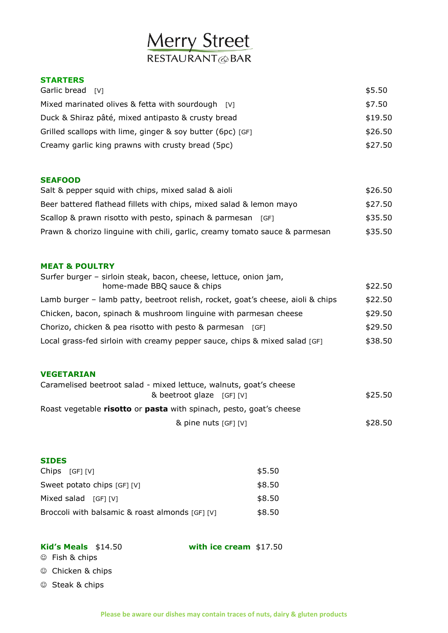# **Merry Street**

#### **STARTERS**

| Garlic bread [V]                                           | \$5.50  |
|------------------------------------------------------------|---------|
| Mixed marinated olives & fetta with sourdough [V]          | \$7.50  |
| Duck & Shiraz pâté, mixed antipasto & crusty bread         | \$19.50 |
| Grilled scallops with lime, ginger & soy butter (6pc) [GF] | \$26.50 |
| Creamy garlic king prawns with crusty bread (5pc)          | \$27.50 |
|                                                            |         |

#### **SEAFOOD**

| Salt & pepper squid with chips, mixed salad & aioli                         | \$26.50 |
|-----------------------------------------------------------------------------|---------|
| Beer battered flathead fillets with chips, mixed salad & lemon mayo         | \$27.50 |
| Scallop & prawn risotto with pesto, spinach & parmesan [GF]                 | \$35.50 |
| Prawn & chorizo linguine with chili, garlic, creamy tomato sauce & parmesan | \$35.50 |

#### **MEAT & POULTRY**

| Surfer burger - sirloin steak, bacon, cheese, lettuce, onion jam,               |         |
|---------------------------------------------------------------------------------|---------|
| home-made BBQ sauce & chips                                                     | \$22.50 |
| Lamb burger – lamb patty, beetroot relish, rocket, goat's cheese, aioli & chips | \$22.50 |
| Chicken, bacon, spinach & mushroom linguine with parmesan cheese                | \$29.50 |
| Chorizo, chicken & pea risotto with pesto & parmesan [GF]                       | \$29.50 |
| Local grass-fed sirloin with creamy pepper sauce, chips & mixed salad [GF]      | \$38.50 |

#### **VEGETARIAN**

| Caramelised beetroot salad - mixed lettuce, walnuts, goat's cheese  |         |
|---------------------------------------------------------------------|---------|
| & beetroot glaze [GF] [V]                                           | \$25.50 |
| Roast vegetable risotto or pasta with spinach, pesto, goat's cheese |         |
| & pine nuts [GF] [V]                                                | \$28.50 |

#### **SIDES**

| $Chips$ $[GF] [V]$                              | \$5.50 |
|-------------------------------------------------|--------|
| Sweet potato chips [GF] [V]                     | \$8.50 |
| Mixed salad [GF] [V]                            | \$8.50 |
| Broccoli with balsamic & roast almonds [GF] [V] | \$8.50 |

**Kid's Meals** \$14.50 **with ice cream** \$17.50

- Fish & chips
- © Chicken & chips
- © Steak & chips